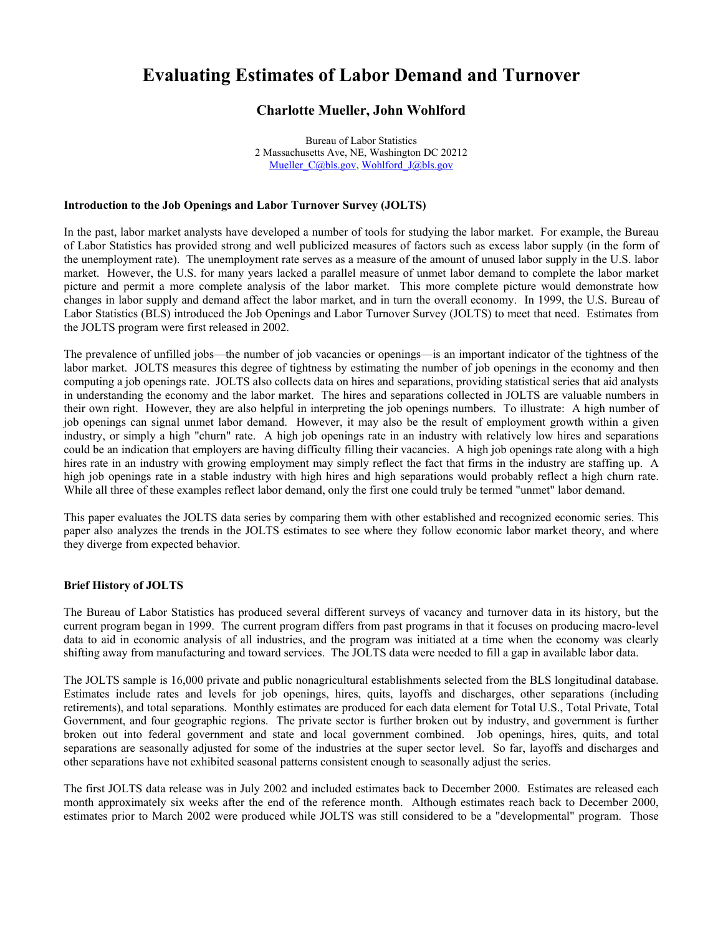# **Evaluating Estimates of Labor Demand and Turnover**

## **Charlotte Mueller, John Wohlford**

 Bureau of Labor Statistics 2 Massachusetts Ave, NE, Washington DC 20212 Mueller C@bls.gov, Wohlford J@bls.gov

## **Introduction to the Job Openings and Labor Turnover Survey (JOLTS)**

 In the past, labor market analysts have developed a number of tools for studying the labor market. For example, the Bureau of Labor Statistics has provided strong and well publicized measures of factors such as excess labor supply (in the form of the unemployment rate). The unemployment rate serves as a measure of the amount of unused labor supply in the U.S. labor market. However, the U.S. for many years lacked a parallel measure of unmet labor demand to complete the labor market picture and permit a more complete analysis of the labor market. This more complete picture would demonstrate how changes in labor supply and demand affect the labor market, and in turn the overall economy. In 1999, the U.S. Bureau of the JOLTS program were first released in 2002. Labor Statistics (BLS) introduced the Job Openings and Labor Turnover Survey (JOLTS) to meet that need. Estimates from

 The prevalence of unfilled jobs—the number of job vacancies or openings—is an important indicator of the tightness of the labor market. JOLTS measures this degree of tightness by estimating the number of job openings in the economy and then in understanding the economy and the labor market. The hires and separations collected in JOLTS are valuable numbers in their own right. However, they are also helpful in interpreting the job openings numbers. To illustrate: A high number of job openings can signal unmet labor demand. However, it may also be the result of employment growth within a given industry, or simply a high "churn" rate. A high job openings rate in an industry with relatively low hires and separations hires rate in an industry with growing employment may simply reflect the fact that firms in the industry are staffing up. A high job openings rate in a stable industry with high hires and high separations would probably reflect a high churn rate. While all three of these examples reflect labor demand, only the first one could truly be termed "unmet" labor demand. computing a job openings rate. JOLTS also collects data on hires and separations, providing statistical series that aid analysts could be an indication that employers are having difficulty filling their vacancies. A high job openings rate along with a high

 This paper evaluates the JOLTS data series by comparing them with other established and recognized economic series. This paper also analyzes the trends in the JOLTS estimates to see where they follow economic labor market theory, and where they diverge from expected behavior.

#### **Brief History of JOLTS**

 The Bureau of Labor Statistics has produced several different surveys of vacancy and turnover data in its history, but the current program began in 1999. The current program differs from past programs in that it focuses on producing macro-level data to aid in economic analysis of all industries, and the program was initiated at a time when the economy was clearly shifting away from manufacturing and toward services. The JOLTS data were needed to fill a gap in available labor data.

 The JOLTS sample is 16,000 private and public nonagricultural establishments selected from the BLS longitudinal database. Government, and four geographic regions. The private sector is further broken out by industry, and government is further broken out into federal government and state and local government combined. Job openings, hires, quits, and total Estimates include rates and levels for job openings, hires, quits, layoffs and discharges, other separations (including retirements), and total separations. Monthly estimates are produced for each data element for Total U.S., Total Private, Total separations are seasonally adjusted for some of the industries at the super sector level. So far, layoffs and discharges and other separations have not exhibited seasonal patterns consistent enough to seasonally adjust the series.

 estimates prior to March 2002 were produced while JOLTS was still considered to be a "developmental" program. Those The first JOLTS data release was in July 2002 and included estimates back to December 2000. Estimates are released each month approximately six weeks after the end of the reference month. Although estimates reach back to December 2000,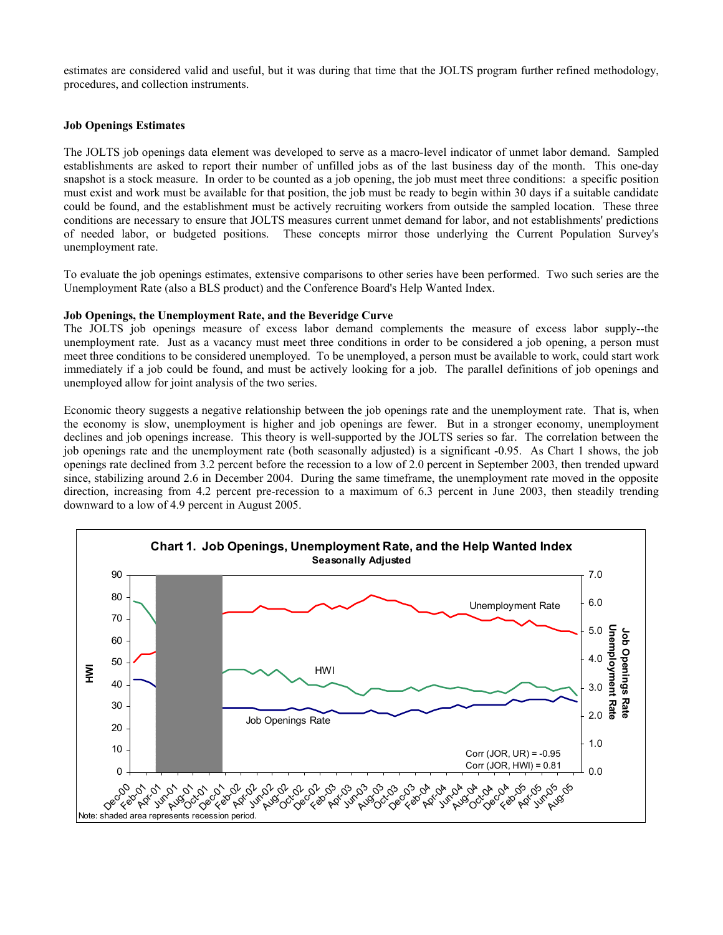estimates are considered valid and useful, but it was during that time that the JOLTS program further refined methodology, procedures, and collection instruments.

### **Job Openings Estimates**

The JOLTS job openings data element was developed to serve as a macro-level indicator of unmet labor demand. Sampled establishments are asked to report their number of unfilled jobs as of the last business day of the month. This one-day snapshot is a stock measure. In order to be counted as a job opening, the job must meet three conditions: a specific position must exist and work must be available for that position, the job must be ready to begin within 30 days if a suitable candidate could be found, and the establishment must be actively recruiting workers from outside the sampled location. These three conditions are necessary to ensure that JOLTS measures current unmet demand for labor, and not establishments' predictions of needed labor, or budgeted positions. These concepts mirror those underlying the Current Population Survey's unemployment rate.

To evaluate the job openings estimates, extensive comparisons to other series have been performed. Two such series are the Unemployment Rate (also a BLS product) and the Conference Board's Help Wanted Index.

## **Job Openings, the Unemployment Rate, and the Beveridge Curve**

The JOLTS job openings measure of excess labor demand complements the measure of excess labor supply--the unemployment rate. Just as a vacancy must meet three conditions in order to be considered a job opening, a person must meet three conditions to be considered unemployed. To be unemployed, a person must be available to work, could start work immediately if a job could be found, and must be actively looking for a job. The parallel definitions of job openings and unemployed allow for joint analysis of the two series.

Economic theory suggests a negative relationship between the job openings rate and the unemployment rate. That is, when the economy is slow, unemployment is higher and job openings are fewer. But in a stronger economy, unemployment declines and job openings increase. This theory is well-supported by the JOLTS series so far. The correlation between the job openings rate and the unemployment rate (both seasonally adjusted) is a significant -0.95. As Chart 1 shows, the job openings rate declined from 3.2 percent before the recession to a low of 2.0 percent in September 2003, then trended upward since, stabilizing around 2.6 in December 2004. During the same timeframe, the unemployment rate moved in the opposite direction, increasing from 4.2 percent pre-recession to a maximum of 6.3 percent in June 2003, then steadily trending downward to a low of 4.9 percent in August 2005.

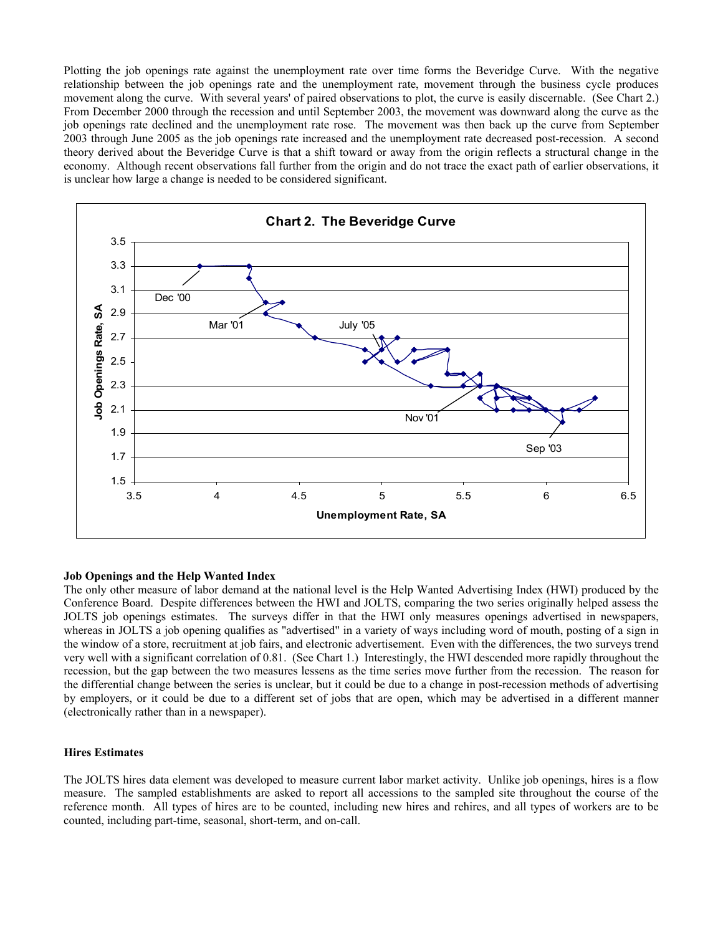Plotting the job openings rate against the unemployment rate over time forms the Beveridge Curve. With the negative movement along the curve. With several years' of paired observations to plot, the curve is easily discernable. (See Chart 2.) job openings rate declined and the unemployment rate rose. The movement was then back up the curve from September 2003 through June 2005 as the job openings rate increased and the unemployment rate decreased post-recession. A second theory derived about the Beveridge Curve is that a shift toward or away from the origin reflects a structural change in the economy. Although recent observations fall further from the origin and do not trace the exact path of earlier observations, it relationship between the job openings rate and the unemployment rate, movement through the business cycle produces From December 2000 through the recession and until September 2003, the movement was downward along the curve as the is unclear how large a change is needed to be considered significant.



## **Job Openings and the Help Wanted Index**

 The only other measure of labor demand at the national level is the Help Wanted Advertising Index (HWI) produced by the whereas in JOLTS a job opening qualifies as "advertised" in a variety of ways including word of mouth, posting of a sign in the window of a store, recruitment at job fairs, and electronic advertisement. Even with the differences, the two surveys trend very well with a significant correlation of 0.81. (See Chart 1.) Interestingly, the HWI descended more rapidly throughout the by employers, or it could be due to a different set of jobs that are open, which may be advertised in a different manner (electronically rather than in a newspaper). Conference Board. Despite differences between the HWI and JOLTS, comparing the two series originally helped assess the JOLTS job openings estimates. The surveys differ in that the HWI only measures openings advertised in newspapers, recession, but the gap between the two measures lessens as the time series move further from the recession. The reason for the differential change between the series is unclear, but it could be due to a change in post-recession methods of advertising

## **Hires Estimates**

 The JOLTS hires data element was developed to measure current labor market activity. Unlike job openings, hires is a flow measure. The sampled establishments are asked to report all accessions to the sampled site throughout the course of the reference month. All types of hires are to be counted, including new hires and rehires, and all types of workers are to be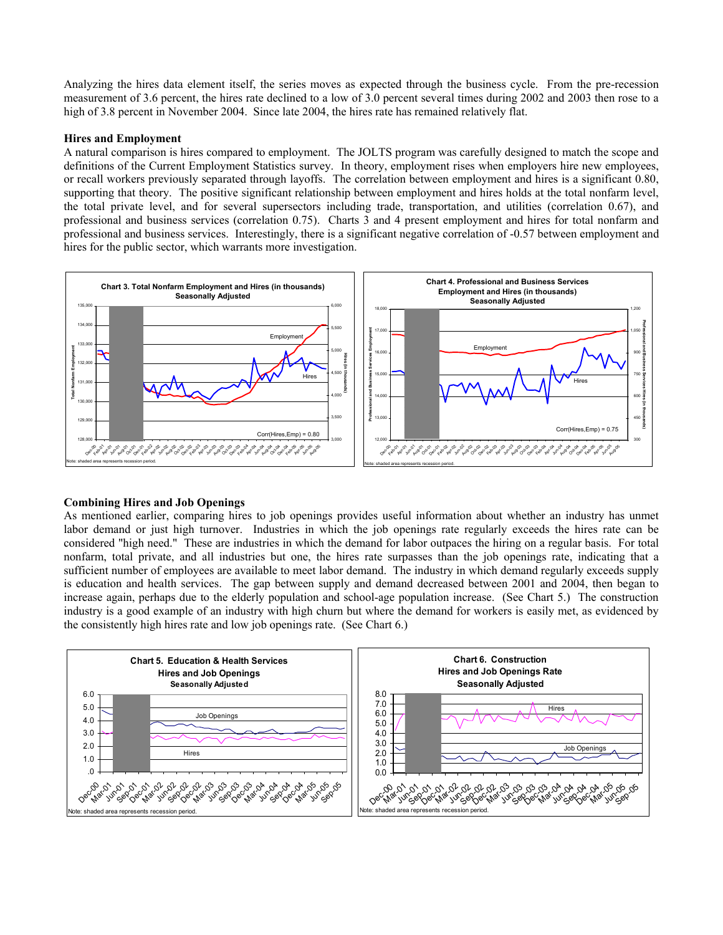Analyzing the hires data element itself, the series moves as expected through the business cycle. From the pre-recession measurement of 3.6 percent, the hires rate declined to a low of 3.0 percent several times during 2002 and 2003 then rose to a high of 3.8 percent in November 2004. Since late 2004, the hires rate has remained relatively flat.

## **Hires and Employment**

A natural comparison is hires compared to employment. The JOLTS program was carefully designed to match the scope and definitions of the Current Employment Statistics survey. In theory, employment rises when employers hire new employees, or recall workers previously separated through layoffs. The correlation between employment and hires is a significant 0.80, supporting that theory. The positive significant relationship between employment and hires holds at the total nonfarm level, the total private level, and for several supersectors including trade, transportation, and utilities (correlation 0.67), and professional and business services (correlation 0.75). Charts 3 and 4 present employment and hires for total nonfarm and professional and business services. Interestingly, there is a significant negative correlation of -0.57 between employment and hires for the public sector, which warrants more investigation.



#### **Combining Hires and Job Openings**

As mentioned earlier, comparing hires to job openings provides useful information about whether an industry has unmet labor demand or just high turnover. Industries in which the job openings rate regularly exceeds the hires rate can be considered "high need." These are industries in which the demand for labor outpaces the hiring on a regular basis. For total nonfarm, total private, and all industries but one, the hires rate surpasses than the job openings rate, indicating that a sufficient number of employees are available to meet labor demand. The industry in which demand regularly exceeds supply is education and health services. The gap between supply and demand decreased between 2001 and 2004, then began to increase again, perhaps due to the elderly population and school-age population increase. (See Chart 5.) The construction industry is a good example of an industry with high churn but where the demand for workers is easily met, as evidenced by the consistently high hires rate and low job openings rate. (See Chart 6.)

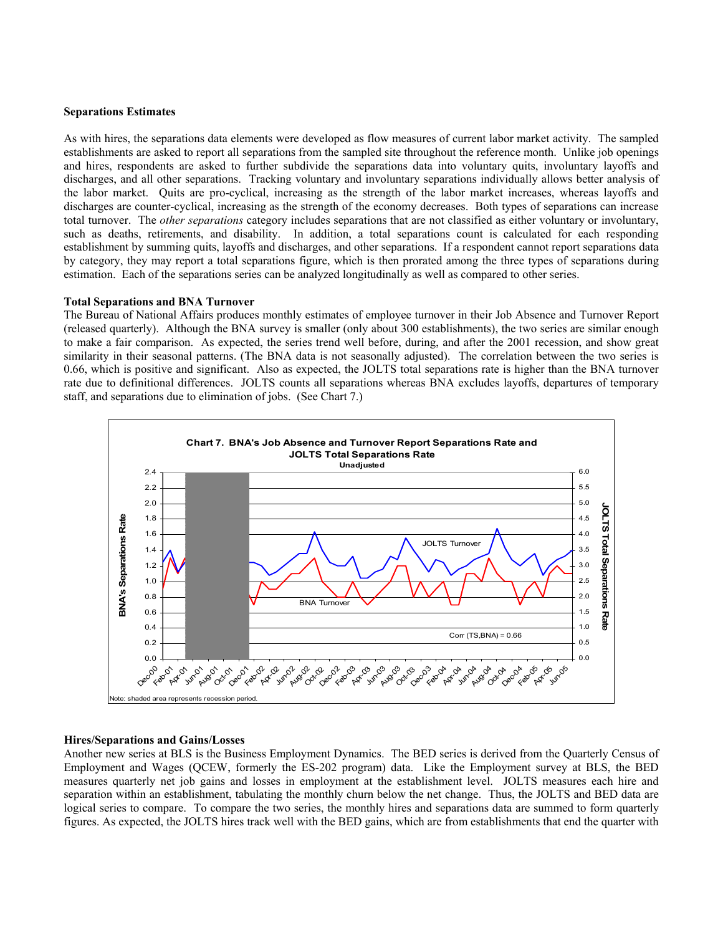#### **Separations Estimates**

As with hires, the separations data elements were developed as flow measures of current labor market activity. The sampled establishments are asked to report all separations from the sampled site throughout the reference month. Unlike job openings and hires, respondents are asked to further subdivide the separations data into voluntary quits, involuntary layoffs and discharges, and all other separations. Tracking voluntary and involuntary separations individually allows better analysis of the labor market. Quits are pro-cyclical, increasing as the strength of the labor market increases, whereas layoffs and discharges are counter-cyclical, increasing as the strength of the economy decreases. Both types of separations can increase total turnover. The *other separations* category includes separations that are not classified as either voluntary or involuntary, such as deaths, retirements, and disability. In addition, a total separations count is calculated for each responding establishment by summing quits, layoffs and discharges, and other separations. If a respondent cannot report separations data by category, they may report a total separations figure, which is then prorated among the three types of separations during estimation. Each of the separations series can be analyzed longitudinally as well as compared to other series.

#### **Total Separations and BNA Turnover**

The Bureau of National Affairs produces monthly estimates of employee turnover in their Job Absence and Turnover Report (released quarterly). Although the BNA survey is smaller (only about 300 establishments), the two series are similar enough to make a fair comparison. As expected, the series trend well before, during, and after the 2001 recession, and show great similarity in their seasonal patterns. (The BNA data is not seasonally adjusted). The correlation between the two series is 0.66, which is positive and significant. Also as expected, the JOLTS total separations rate is higher than the BNA turnover rate due to definitional differences. JOLTS counts all separations whereas BNA excludes layoffs, departures of temporary staff, and separations due to elimination of jobs. (See Chart 7.)



#### **Hires/Separations and Gains/Losses**

Another new series at BLS is the Business Employment Dynamics. The BED series is derived from the Quarterly Census of Employment and Wages (QCEW, formerly the ES-202 program) data. Like the Employment survey at BLS, the BED measures quarterly net job gains and losses in employment at the establishment level. JOLTS measures each hire and separation within an establishment, tabulating the monthly churn below the net change. Thus, the JOLTS and BED data are logical series to compare. To compare the two series, the monthly hires and separations data are summed to form quarterly figures. As expected, the JOLTS hires track well with the BED gains, which are from establishments that end the quarter with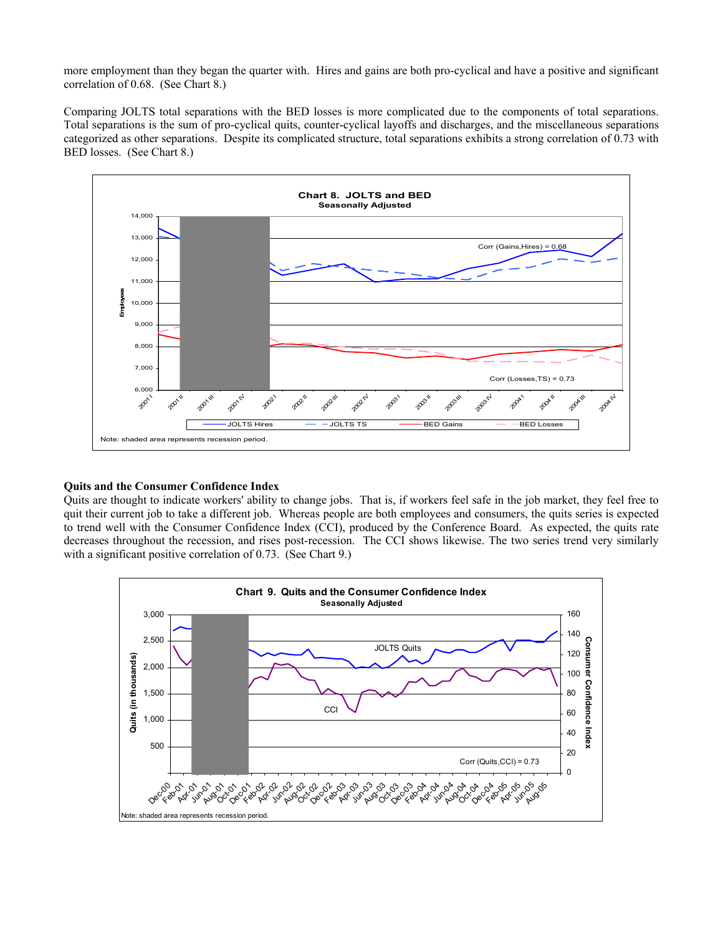more employment than they began the quarter with. Hires and gains are both pro-cyclical and have a positive and significant correlation of 0.68. (See Chart 8.)

Comparing JOLTS total separations with the BED losses is more complicated due to the components of total separations. Total separations is the sum of pro-cyclical quits, counter-cyclical layoffs and discharges, and the miscellaneous separations categorized as other separations. Despite its complicated structure, total separations exhibits a strong correlation of 0.73 with BED losses. (See Chart 8.)



## **Quits and the Consumer Confidence Index**

Quits are thought to indicate workers' ability to change jobs. That is, if workers feel safe in the job market, they feel free to quit their current job to take a different job. Whereas people are both employees and consumers, the quits series is expected to trend well with the Consumer Confidence Index (CCI), produced by the Conference Board. As expected, the quits rate decreases throughout the recession, and rises post-recession. The CCI shows likewise. The two series trend very similarly with a significant positive correlation of 0.73. (See Chart 9.)

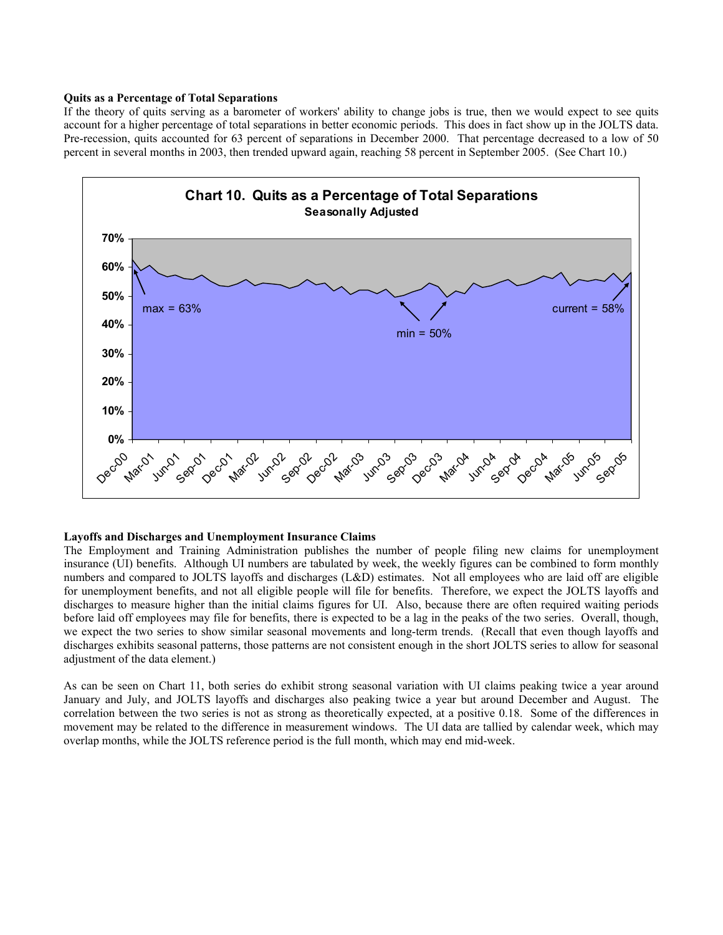#### **Quits as a Percentage of Total Separations**

 account for a higher percentage of total separations in better economic periods. This does in fact show up in the JOLTS data. percent in several months in 2003, then trended upward again, reaching 58 percent in September 2005. (See Chart 10.) If the theory of quits serving as a barometer of workers' ability to change jobs is true, then we would expect to see quits Pre-recession, quits accounted for 63 percent of separations in December 2000. That percentage decreased to a low of 50



#### **Layoffs and Discharges and Unemployment Insurance Claims**

 The Employment and Training Administration publishes the number of people filing new claims for unemployment insurance (UI) benefits. Although UI numbers are tabulated by week, the weekly figures can be combined to form monthly numbers and compared to JOLTS layoffs and discharges (L&D) estimates. Not all employees who are laid off are eligible for unemployment benefits, and not all eligible people will file for benefits. Therefore, we expect the JOLTS layoffs and discharges to measure higher than the initial claims figures for UI. Also, because there are often required waiting periods before laid off employees may file for benefits, there is expected to be a lag in the peaks of the two series. Overall, though, we expect the two series to show similar seasonal movements and long-term trends. (Recall that even though layoffs and discharges exhibits seasonal patterns, those patterns are not consistent enough in the short JOLTS series to allow for seasonal adjustment of the data element.)

 As can be seen on Chart 11, both series do exhibit strong seasonal variation with UI claims peaking twice a year around January and July, and JOLTS layoffs and discharges also peaking twice a year but around December and August. The correlation between the two series is not as strong as theoretically expected, at a positive 0.18. Some of the differences in movement may be related to the difference in measurement windows. The UI data are tallied by calendar week, which may overlap months, while the JOLTS reference period is the full month, which may end mid-week.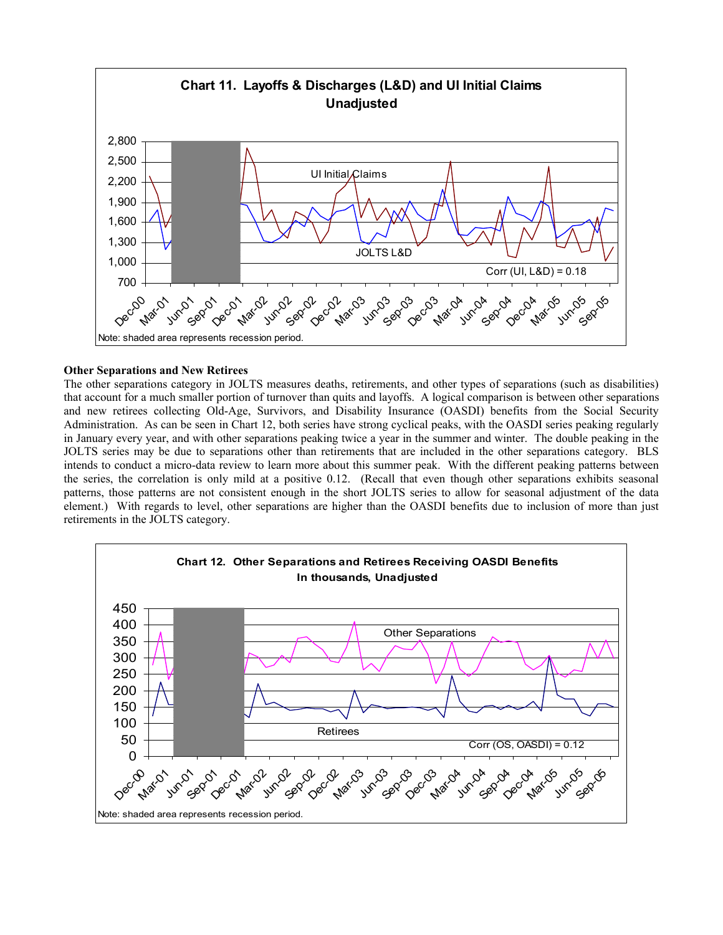

## **Other Separations and New Retirees**

The other separations category in JOLTS measures deaths, retirements, and other types of separations (such as disabilities) that account for a much smaller portion of turnover than quits and layoffs. A logical comparison is between other separations and new retirees collecting Old-Age, Survivors, and Disability Insurance (OASDI) benefits from the Social Security Administration. As can be seen in Chart 12, both series have strong cyclical peaks, with the OASDI series peaking regularly in January every year, and with other separations peaking twice a year in the summer and winter. The double peaking in the JOLTS series may be due to separations other than retirements that are included in the other separations category. BLS intends to conduct a micro-data review to learn more about this summer peak. With the different peaking patterns between the series, the correlation is only mild at a positive 0.12. (Recall that even though other separations exhibits seasonal patterns, those patterns are not consistent enough in the short JOLTS series to allow for seasonal adjustment of the data element.) With regards to level, other separations are higher than the OASDI benefits due to inclusion of more than just retirements in the JOLTS category.